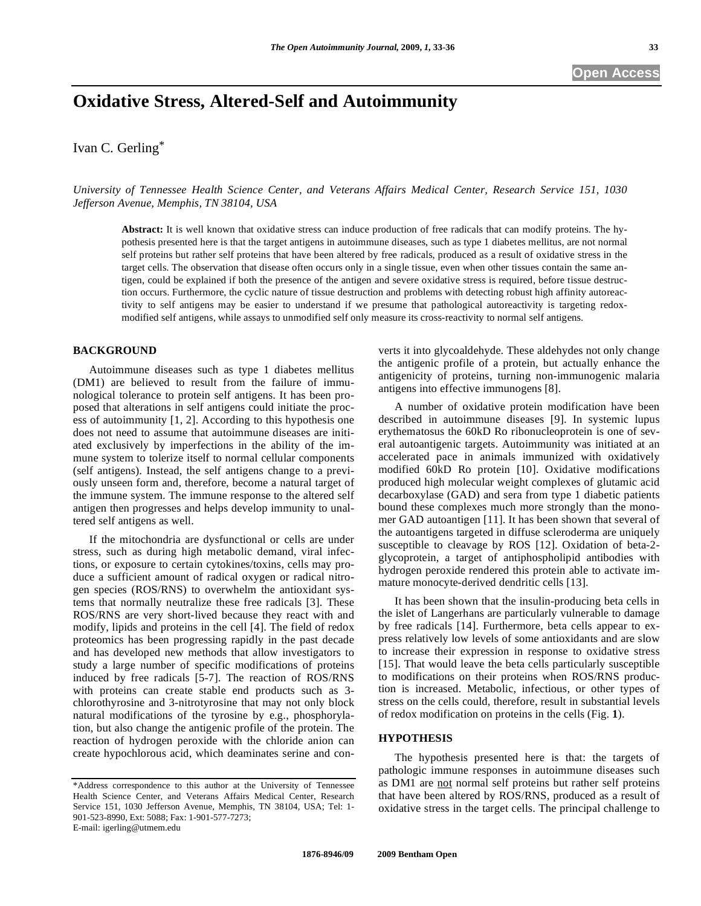# **Oxidative Stress, Altered-Self and Autoimmunity**

Ivan C. Gerling\*

*University of Tennessee Health Science Center, and Veterans Affairs Medical Center, Research Service 151, 1030 Jefferson Avenue, Memphis, TN 38104, USA* 

**Abstract:** It is well known that oxidative stress can induce production of free radicals that can modify proteins. The hypothesis presented here is that the target antigens in autoimmune diseases, such as type 1 diabetes mellitus, are not normal self proteins but rather self proteins that have been altered by free radicals, produced as a result of oxidative stress in the target cells. The observation that disease often occurs only in a single tissue, even when other tissues contain the same antigen, could be explained if both the presence of the antigen and severe oxidative stress is required, before tissue destruction occurs. Furthermore, the cyclic nature of tissue destruction and problems with detecting robust high affinity autoreactivity to self antigens may be easier to understand if we presume that pathological autoreactivity is targeting redoxmodified self antigens, while assays to unmodified self only measure its cross-reactivity to normal self antigens.

## **BACKGROUND**

 Autoimmune diseases such as type 1 diabetes mellitus (DM1) are believed to result from the failure of immunological tolerance to protein self antigens. It has been proposed that alterations in self antigens could initiate the process of autoimmunity [1, 2]. According to this hypothesis one does not need to assume that autoimmune diseases are initiated exclusively by imperfections in the ability of the immune system to tolerize itself to normal cellular components (self antigens). Instead, the self antigens change to a previously unseen form and, therefore, become a natural target of the immune system. The immune response to the altered self antigen then progresses and helps develop immunity to unaltered self antigens as well.

 If the mitochondria are dysfunctional or cells are under stress, such as during high metabolic demand, viral infections, or exposure to certain cytokines/toxins, cells may produce a sufficient amount of radical oxygen or radical nitrogen species (ROS/RNS) to overwhelm the antioxidant systems that normally neutralize these free radicals [3]. These ROS/RNS are very short-lived because they react with and modify, lipids and proteins in the cell [4]. The field of redox proteomics has been progressing rapidly in the past decade and has developed new methods that allow investigators to study a large number of specific modifications of proteins induced by free radicals [5-7]. The reaction of ROS/RNS with proteins can create stable end products such as 3 chlorothyrosine and 3-nitrotyrosine that may not only block natural modifications of the tyrosine by e.g., phosphorylation, but also change the antigenic profile of the protein. The reaction of hydrogen peroxide with the chloride anion can create hypochlorous acid, which deaminates serine and converts it into glycoaldehyde. These aldehydes not only change the antigenic profile of a protein, but actually enhance the antigenicity of proteins, turning non-immunogenic malaria antigens into effective immunogens [8].

 A number of oxidative protein modification have been described in autoimmune diseases [9]. In systemic lupus erythematosus the 60kD Ro ribonucleoprotein is one of several autoantigenic targets. Autoimmunity was initiated at an accelerated pace in animals immunized with oxidatively modified 60kD Ro protein [10]. Oxidative modifications produced high molecular weight complexes of glutamic acid decarboxylase (GAD) and sera from type 1 diabetic patients bound these complexes much more strongly than the monomer GAD autoantigen [11]. It has been shown that several of the autoantigens targeted in diffuse scleroderma are uniquely susceptible to cleavage by ROS [12]. Oxidation of beta-2 glycoprotein, a target of antiphospholipid antibodies with hydrogen peroxide rendered this protein able to activate immature monocyte-derived dendritic cells [13].

 It has been shown that the insulin-producing beta cells in the islet of Langerhans are particularly vulnerable to damage by free radicals [14]. Furthermore, beta cells appear to express relatively low levels of some antioxidants and are slow to increase their expression in response to oxidative stress [15]. That would leave the beta cells particularly susceptible to modifications on their proteins when ROS/RNS production is increased. Metabolic, infectious, or other types of stress on the cells could, therefore, result in substantial levels of redox modification on proteins in the cells (Fig. **1**).

## **HYPOTHESIS**

 The hypothesis presented here is that: the targets of pathologic immune responses in autoimmune diseases such as DM1 are not normal self proteins but rather self proteins that have been altered by ROS/RNS, produced as a result of oxidative stress in the target cells. The principal challenge to

<sup>\*</sup>Address correspondence to this author at the University of Tennessee Health Science Center, and Veterans Affairs Medical Center, Research Service 151, 1030 Jefferson Avenue, Memphis, TN 38104, USA; Tel: 1- 901-523-8990, Ext: 5088; Fax: 1-901-577-7273; E-mail: igerling@utmem.edu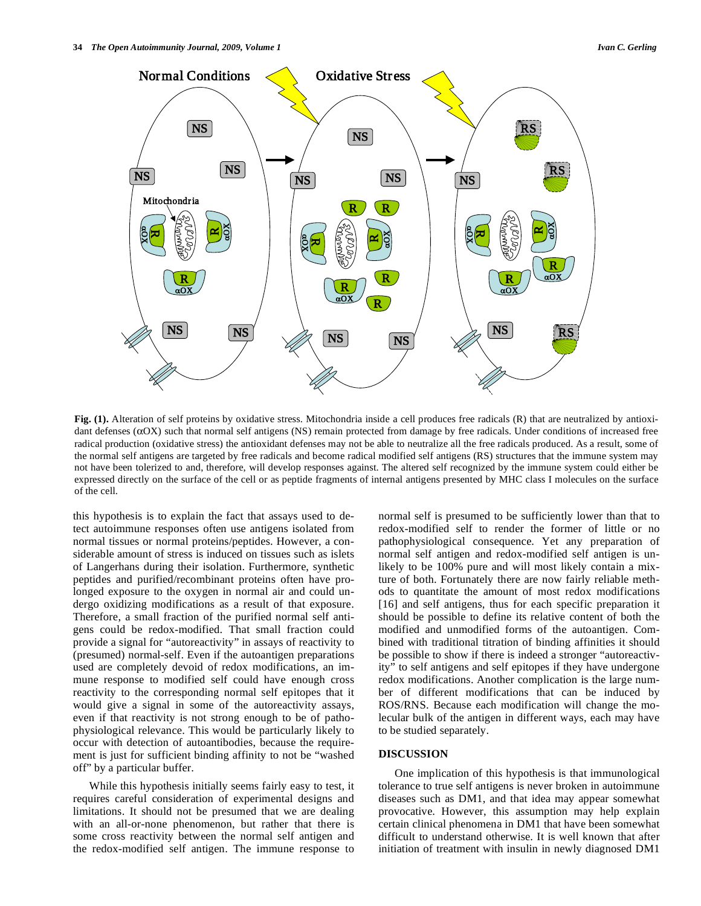

**Fig. (1).** Alteration of self proteins by oxidative stress. Mitochondria inside a cell produces free radicals (R) that are neutralized by antioxidant defenses  $(\alpha OX)$  such that normal self antigens (NS) remain protected from damage by free radicals. Under conditions of increased free radical production (oxidative stress) the antioxidant defenses may not be able to neutralize all the free radicals produced. As a result, some of the normal self antigens are targeted by free radicals and become radical modified self antigens (RS) structures that the immune system may not have been tolerized to and, therefore, will develop responses against. The altered self recognized by the immune system could either be expressed directly on the surface of the cell or as peptide fragments of internal antigens presented by MHC class I molecules on the surface of the cell.

this hypothesis is to explain the fact that assays used to detect autoimmune responses often use antigens isolated from normal tissues or normal proteins/peptides. However, a considerable amount of stress is induced on tissues such as islets of Langerhans during their isolation. Furthermore, synthetic peptides and purified/recombinant proteins often have prolonged exposure to the oxygen in normal air and could undergo oxidizing modifications as a result of that exposure. Therefore, a small fraction of the purified normal self antigens could be redox-modified. That small fraction could provide a signal for "autoreactivity" in assays of reactivity to (presumed) normal-self. Even if the autoantigen preparations used are completely devoid of redox modifications, an immune response to modified self could have enough cross reactivity to the corresponding normal self epitopes that it would give a signal in some of the autoreactivity assays, even if that reactivity is not strong enough to be of pathophysiological relevance. This would be particularly likely to occur with detection of autoantibodies, because the requirement is just for sufficient binding affinity to not be "washed off" by a particular buffer.

 While this hypothesis initially seems fairly easy to test, it requires careful consideration of experimental designs and limitations. It should not be presumed that we are dealing with an all-or-none phenomenon, but rather that there is some cross reactivity between the normal self antigen and the redox-modified self antigen. The immune response to

normal self is presumed to be sufficiently lower than that to redox-modified self to render the former of little or no pathophysiological consequence. Yet any preparation of normal self antigen and redox-modified self antigen is unlikely to be 100% pure and will most likely contain a mixture of both. Fortunately there are now fairly reliable methods to quantitate the amount of most redox modifications [16] and self antigens, thus for each specific preparation it should be possible to define its relative content of both the modified and unmodified forms of the autoantigen. Combined with traditional titration of binding affinities it should be possible to show if there is indeed a stronger "autoreactivity" to self antigens and self epitopes if they have undergone redox modifications. Another complication is the large number of different modifications that can be induced by ROS/RNS. Because each modification will change the molecular bulk of the antigen in different ways, each may have to be studied separately.

# **DISCUSSION**

 One implication of this hypothesis is that immunological tolerance to true self antigens is never broken in autoimmune diseases such as DM1, and that idea may appear somewhat provocative. However, this assumption may help explain certain clinical phenomena in DM1 that have been somewhat difficult to understand otherwise. It is well known that after initiation of treatment with insulin in newly diagnosed DM1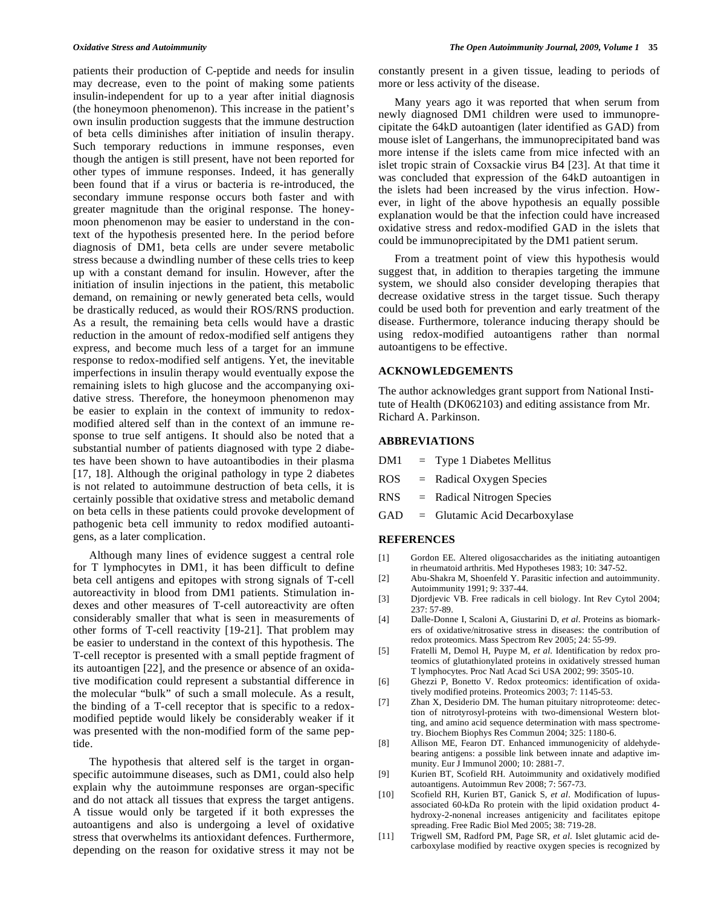patients their production of C-peptide and needs for insulin may decrease, even to the point of making some patients insulin-independent for up to a year after initial diagnosis (the honeymoon phenomenon). This increase in the patient's own insulin production suggests that the immune destruction of beta cells diminishes after initiation of insulin therapy. Such temporary reductions in immune responses, even though the antigen is still present, have not been reported for other types of immune responses. Indeed, it has generally been found that if a virus or bacteria is re-introduced, the secondary immune response occurs both faster and with greater magnitude than the original response. The honeymoon phenomenon may be easier to understand in the context of the hypothesis presented here. In the period before diagnosis of DM1, beta cells are under severe metabolic stress because a dwindling number of these cells tries to keep up with a constant demand for insulin. However, after the initiation of insulin injections in the patient, this metabolic demand, on remaining or newly generated beta cells, would be drastically reduced, as would their ROS/RNS production. As a result, the remaining beta cells would have a drastic reduction in the amount of redox-modified self antigens they express, and become much less of a target for an immune response to redox-modified self antigens. Yet, the inevitable imperfections in insulin therapy would eventually expose the remaining islets to high glucose and the accompanying oxidative stress. Therefore, the honeymoon phenomenon may be easier to explain in the context of immunity to redoxmodified altered self than in the context of an immune response to true self antigens. It should also be noted that a substantial number of patients diagnosed with type 2 diabetes have been shown to have autoantibodies in their plasma [17, 18]. Although the original pathology in type 2 diabetes is not related to autoimmune destruction of beta cells, it is certainly possible that oxidative stress and metabolic demand on beta cells in these patients could provoke development of pathogenic beta cell immunity to redox modified autoantigens, as a later complication.

 Although many lines of evidence suggest a central role for T lymphocytes in DM1, it has been difficult to define beta cell antigens and epitopes with strong signals of T-cell autoreactivity in blood from DM1 patients. Stimulation indexes and other measures of T-cell autoreactivity are often considerably smaller that what is seen in measurements of other forms of T-cell reactivity [19-21]. That problem may be easier to understand in the context of this hypothesis. The T-cell receptor is presented with a small peptide fragment of its autoantigen [22], and the presence or absence of an oxidative modification could represent a substantial difference in the molecular "bulk" of such a small molecule. As a result, the binding of a T-cell receptor that is specific to a redoxmodified peptide would likely be considerably weaker if it was presented with the non-modified form of the same peptide.

 The hypothesis that altered self is the target in organspecific autoimmune diseases, such as DM1, could also help explain why the autoimmune responses are organ-specific and do not attack all tissues that express the target antigens. A tissue would only be targeted if it both expresses the autoantigens and also is undergoing a level of oxidative stress that overwhelms its antioxidant defences. Furthermore, depending on the reason for oxidative stress it may not be constantly present in a given tissue, leading to periods of more or less activity of the disease.

 Many years ago it was reported that when serum from newly diagnosed DM1 children were used to immunoprecipitate the 64kD autoantigen (later identified as GAD) from mouse islet of Langerhans, the immunoprecipitated band was more intense if the islets came from mice infected with an islet tropic strain of Coxsackie virus B4 [23]. At that time it was concluded that expression of the 64kD autoantigen in the islets had been increased by the virus infection. However, in light of the above hypothesis an equally possible explanation would be that the infection could have increased oxidative stress and redox-modified GAD in the islets that could be immunoprecipitated by the DM1 patient serum.

 From a treatment point of view this hypothesis would suggest that, in addition to therapies targeting the immune system, we should also consider developing therapies that decrease oxidative stress in the target tissue. Such therapy could be used both for prevention and early treatment of the disease. Furthermore, tolerance inducing therapy should be using redox-modified autoantigens rather than normal autoantigens to be effective.

### **ACKNOWLEDGEMENTS**

The author acknowledges grant support from National Institute of Health (DK062103) and editing assistance from Mr. Richard A. Parkinson.

## **ABBREVIATIONS**

- DM1 = Type 1 Diabetes Mellitus
- ROS = Radical Oxygen Species
- RNS = Radical Nitrogen Species
- GAD = Glutamic Acid Decarboxylase

### **REFERENCES**

- [1] Gordon EE. Altered oligosaccharides as the initiating autoantigen in rheumatoid arthritis. Med Hypotheses 1983; 10: 347-52.
- [2] Abu-Shakra M, Shoenfeld Y. Parasitic infection and autoimmunity. Autoimmunity 1991; 9: 337-44.
- [3] Djordjevic VB. Free radicals in cell biology. Int Rev Cytol 2004; 237: 57-89.
- [4] Dalle-Donne I, Scaloni A, Giustarini D, *et al*. Proteins as biomarkers of oxidative/nitrosative stress in diseases: the contribution of redox proteomics. Mass Spectrom Rev 2005; 24: 55-99.
- [5] Fratelli M, Demol H, Puype M, *et al*. Identification by redox proteomics of glutathionylated proteins in oxidatively stressed human T lymphocytes. Proc Natl Acad Sci USA 2002; 99: 3505-10.
- [6] Ghezzi P, Bonetto V. Redox proteomics: identification of oxidatively modified proteins. Proteomics 2003; 7: 1145-53.
- [7] Zhan X, Desiderio DM. The human pituitary nitroproteome: detection of nitrotyrosyl-proteins with two-dimensional Western blotting, and amino acid sequence determination with mass spectrometry. Biochem Biophys Res Commun 2004; 325: 1180-6.
- [8] Allison ME, Fearon DT. Enhanced immunogenicity of aldehydebearing antigens: a possible link between innate and adaptive immunity. Eur J Immunol 2000; 10: 2881-7.
- [9] Kurien BT, Scofield RH. Autoimmunity and oxidatively modified autoantigens. Autoimmun Rev 2008; 7: 567-73.
- [10] Scofield RH, Kurien BT, Ganick S, *et al*. Modification of lupusassociated 60-kDa Ro protein with the lipid oxidation product 4 hydroxy-2-nonenal increases antigenicity and facilitates epitope spreading. Free Radic Biol Med 2005; 38: 719-28.
- [11] Trigwell SM, Radford PM, Page SR, *et al*. Islet glutamic acid decarboxylase modified by reactive oxygen species is recognized by